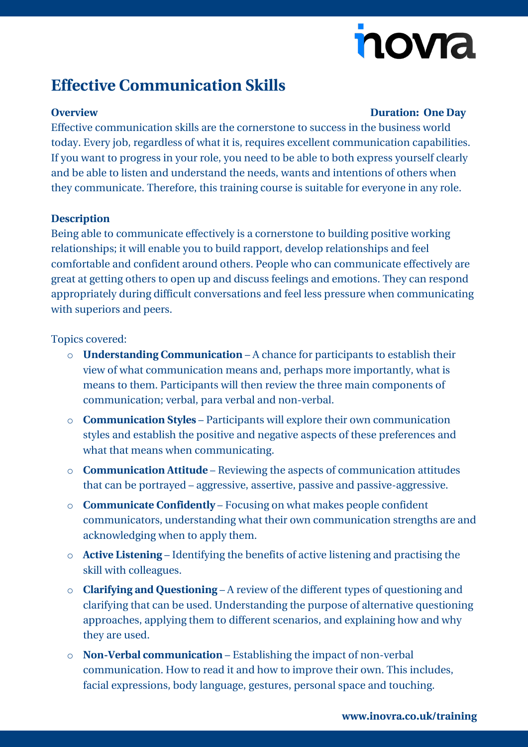# nova

## **Effective Communication Skills**

#### **Overview Duration: One Day**

Effective communication skills are the cornerstone to success in the business world today. Every job, regardless of what it is, requires excellent communication capabilities. If you want to progress in your role, you need to be able to both express yourself clearly and be able to listen and understand the needs, wants and intentions of others when they communicate. Therefore, this training course is suitable for everyone in any role.

### **Description**

Being able to communicate effectively is a cornerstone to building positive working relationships; it will enable you to build rapport, develop relationships and feel comfortable and confident around others. People who can communicate effectively are great at getting others to open up and discuss feelings and emotions. They can respond appropriately during difficult conversations and feel less pressure when communicating with superiors and peers.

### Topics covered:

- o **Understanding Communication** A chance for participants to establish their view of what communication means and, perhaps more importantly, what is means to them. Participants will then review the three main components of communication; verbal, para verbal and non-verbal.
- o **Communication Styles**  Participants will explore their own communication styles and establish the positive and negative aspects of these preferences and what that means when communicating.
- o **Communication Attitude**  Reviewing the aspects of communication attitudes that can be portrayed – aggressive, assertive, passive and passive-aggressive.
- o **Communicate Confidently**  Focusing on what makes people confident communicators, understanding what their own communication strengths are and acknowledging when to apply them.
- o **Active Listening**  Identifying the benefits of active listening and practising the skill with colleagues.
- o **Clarifying and Questioning**  A review of the different types of questioning and clarifying that can be used. Understanding the purpose of alternative questioning approaches, applying them to different scenarios, and explaining how and why they are used.
- o **Non-Verbal communication**  Establishing the impact of non-verbal communication. How to read it and how to improve their own. This includes, facial expressions, body language, gestures, personal space and touching.